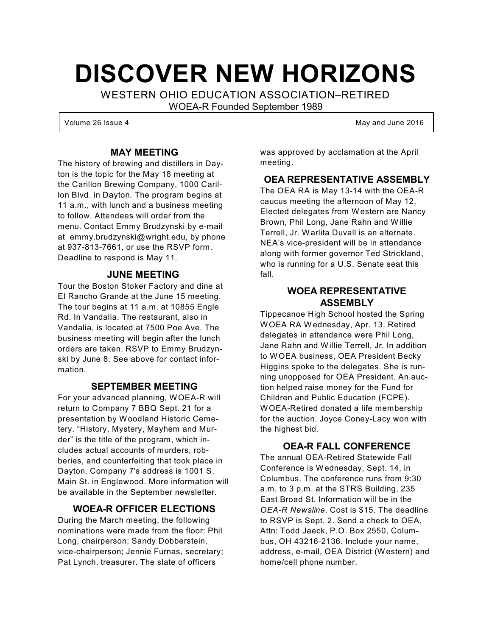# **DISCOVER NEW HORIZONS**

WESTERN OHIO EDUCATION ASSOCIATION–RETIRED

WOEA-R Founded September 1989

Volume 26 Issue 4 May and June 2016

#### **MAY MEETING**

The history of brewing and distillers in Dayton is the topic for the May 18 meeting at the Carillon Brewing Company, 1000 Carillon Blvd. in Dayton. The program begins at 11 a.m., with lunch and a business meeting to follow. Attendees will order from the menu. Contact Emmy Brudzynski by e-mail at [emmy.brudzynski@wright.edu](mailto:emmy.brudzynski@wright.edu), by phone at 937-813-7661, or use the RSVP form. Deadline to respond is May 11.

#### **JUNE MEETING**

Tour the Boston Stoker Factory and dine at El Rancho Grande at the June 15 meeting. The tour begins at 11 a.m. at 10855 Engle Rd. In Vandalia. The restaurant, also in Vandalia, is located at 7500 Poe Ave. The business meeting will begin after the lunch orders are taken. RSVP to Emmy Brudzynski by June 8. See above for contact information.

#### **SEPTEMBER MEETING**

For your advanced planning, WOEA-R will return to Company 7 BBQ Sept. 21 for a presentation by Woodland Historic Cemetery. "History, Mystery, Mayhem and Murder" is the title of the program, which includes actual accounts of murders, robberies, and counterfeiting that took place in Dayton. Company 7's address is 1001 S. Main St. in Englewood. More information will be available in the September newsletter.

#### **WOEA-R OFFICER ELECTIONS**

During the March meeting, the following nominations were made from the floor: Phil Long, chairperson; Sandy Dobberstein, vice-chairperson; Jennie Furnas, secretary; Pat Lynch, treasurer. The slate of officers

was approved by acclamation at the April meeting.

#### **OEA REPRESENTATIVE ASSEMBLY**

The OEA RA is May 13-14 with the OEA-R caucus meeting the afternoon of May 12. Elected delegates from Western are Nancy Brown, Phil Long, Jane Rahn and Willie Terrell, Jr. Warlita Duvall is an alternate. NEA's vice-president will be in attendance along with former governor Ted Strickland, who is running for a U.S. Senate seat this fall.

#### **WOEA REPRESENTATIVE ASSEMBLY**

Tippecanoe High School hosted the Spring WOEA RA Wednesday, Apr. 13. Retired delegates in attendance were Phil Long, Jane Rahn and Willie Terrell, Jr. In addition to WOEA business, OEA President Becky Higgins spoke to the delegates. She is running unopposed for OEA President. An auction helped raise money for the Fund for Children and Public Education (FCPE). WOEA-Retired donated a life membership for the auction. Joyce Coney-Lacy won with the highest bid.

#### **OEA-R FALL CONFERENCE**

The annual OEA-Retired Statewide Fall Conference is Wednesday, Sept. 14, in Columbus. The conference runs from 9:30 a.m. to 3 p.m. at the STRS Building, 235 East Broad St. Information will be in the *OEA-R Newsline*. Cost is \$15. The deadline to RSVP is Sept. 2. Send a check to OEA, Attn: Todd Jaeck, P.O. Box 2550, Columbus, OH 43216-2136. Include your name, address, e-mail, OEA District (Western) and home/cell phone number.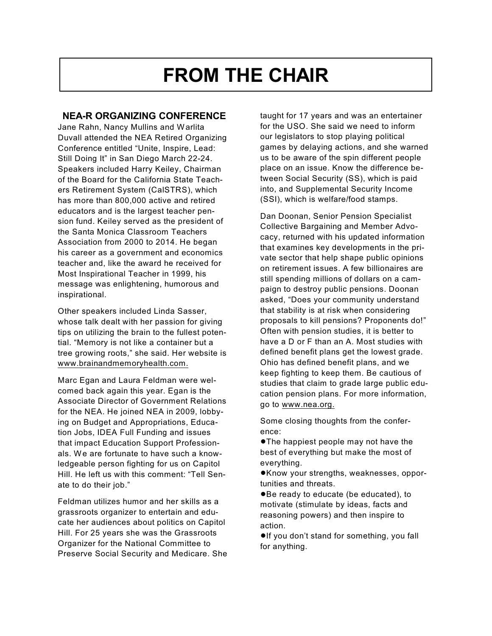## **FROM THE CHAIR**

#### **NEA-R ORGANIZING CONFERENCE**

Jane Rahn, Nancy Mullins and Warlita Duvall attended the NEA Retired Organizing Conference entitled "Unite, Inspire, Lead: Still Doing It" in San Diego March 22-24. Speakers included Harry Keiley, Chairman of the Board for the California State Teachers Retirement System (CalSTRS), which has more than 800,000 active and retired educators and is the largest teacher pension fund. Keiley served as the president of the Santa Monica Classroom Teachers Association from 2000 to 2014. He began his career as a government and economics teacher and, like the award he received for Most Inspirational Teacher in 1999, his message was enlightening, humorous and inspirational.

Other speakers included Linda Sasser, whose talk dealt with her passion for giving tips on utilizing the brain to the fullest potential. "Memory is not like a container but a tree growing roots," she said. Her website is [www.brainandmemoryhealth.com.](http://www.brainandmemoryhealth.com.)

Marc Egan and Laura Feldman were welcomed back again this year. Egan is the Associate Director of Government Relations for the NEA. He joined NEA in 2009, lobbying on Budget and Appropriations, Education Jobs, IDEA Full Funding and issues that impact Education Support Professionals. We are fortunate to have such a knowledgeable person fighting for us on Capitol Hill. He left us with this comment: "Tell Senate to do their job."

Feldman utilizes humor and her skills as a grassroots organizer to entertain and educate her audiences about politics on Capitol Hill. For 25 years she was the Grassroots Organizer for the National Committee to Preserve Social Security and Medicare. She taught for 17 years and was an entertainer for the USO. She said we need to inform our legislators to stop playing political games by delaying actions, and she warned us to be aware of the spin different people place on an issue. Know the difference between Social Security (SS), which is paid into, and Supplemental Security Income (SSI), which is welfare/food stamps.

Dan Doonan, Senior Pension Specialist Collective Bargaining and Member Advocacy, returned with his updated information that examines key developments in the private sector that help shape public opinions on retirement issues. A few billionaires are still spending millions of dollars on a campaign to destroy public pensions. Doonan asked, "Does your community understand that stability is at risk when considering proposals to kill pensions? Proponents do!" Often with pension studies, it is better to have a D or F than an A. Most studies with defined benefit plans get the lowest grade. Ohio has defined benefit plans, and we keep fighting to keep them. Be cautious of studies that claim to grade large public education pension plans. For more information, go to [www.nea.org.](http://www.nea.org.)

Some closing thoughts from the conference:

**.**The happiest people may not have the best of everything but make the most of everything.

!Know your strengths, weaknesses, opportunities and threats.

● Be ready to educate (be educated), to motivate (stimulate by ideas, facts and reasoning powers) and then inspire to action.

●If you don't stand for something, you fall for anything.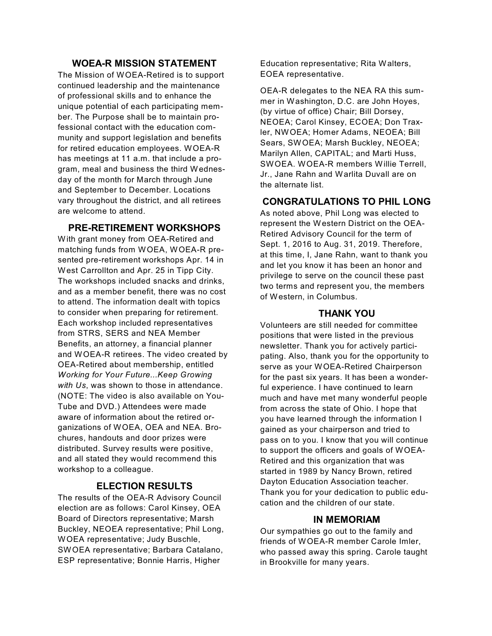#### **WOEA-R MISSION STATEMENT**

The Mission of WOEA-Retired is to support continued leadership and the maintenance of professional skills and to enhance the unique potential of each participating member. The Purpose shall be to maintain professional contact with the education community and support legislation and benefits for retired education employees. WOEA-R has meetings at 11 a.m. that include a program, meal and business the third Wednesday of the month for March through June and September to December. Locations vary throughout the district, and all retirees are welcome to attend.

#### **PRE-RETIREMENT WORKSHOPS**

With grant money from OEA-Retired and matching funds from WOEA, WOEA-R presented pre-retirement workshops Apr. 14 in West Carrollton and Apr. 25 in Tipp City. The workshops included snacks and drinks, and as a member benefit, there was no cost to attend. The information dealt with topics to consider when preparing for retirement. Each workshop included representatives from STRS, SERS and NEA Member Benefits, an attorney, a financial planner and WOEA-R retirees. The video created by OEA-Retired about membership, entitled *Working for Your Future...Keep Growing with Us*, was shown to those in attendance. (NOTE: The video is also available on You-Tube and DVD.) Attendees were made aware of information about the retired organizations of WOEA, OEA and NEA. Brochures, handouts and door prizes were distributed. Survey results were positive, and all stated they would recommend this workshop to a colleague.

#### **ELECTION RESULTS**

The results of the OEA-R Advisory Council election are as follows: Carol Kinsey, OEA Board of Directors representative; Marsh Buckley, NEOEA representative; Phil Long, WOEA representative; Judy Buschle, SWOEA representative; Barbara Catalano, ESP representative; Bonnie Harris, Higher

Education representative; Rita Walters, EOEA representative.

OEA-R delegates to the NEA RA this summer in Washington, D.C. are John Hoyes, (by virtue of office) Chair; Bill Dorsey, NEOEA; Carol Kinsey, ECOEA; Don Traxler, NWOEA; Homer Adams, NEOEA; Bill Sears, SWOEA; Marsh Buckley, NEOEA; Marilyn Allen, CAPITAL; and Marti Huss, SWOEA. WOEA-R members Willie Terrell, Jr., Jane Rahn and Warlita Duvall are on the alternate list.

#### **CONGRATULATIONS TO PHIL LONG**

As noted above, Phil Long was elected to represent the Western District on the OEA-Retired Advisory Council for the term of Sept. 1, 2016 to Aug. 31, 2019. Therefore, at this time, I, Jane Rahn, want to thank you and let you know it has been an honor and privilege to serve on the council these past two terms and represent you, the members of Western, in Columbus.

#### **THANK YOU**

Volunteers are still needed for committee positions that were listed in the previous newsletter. Thank you for actively participating. Also, thank you for the opportunity to serve as your WOEA-Retired Chairperson for the past six years. It has been a wonderful experience. I have continued to learn much and have met many wonderful people from across the state of Ohio. I hope that you have learned through the information I gained as your chairperson and tried to pass on to you. I know that you will continue to support the officers and goals of WOEA-Retired and this organization that was started in 1989 by Nancy Brown, retired Dayton Education Association teacher. Thank you for your dedication to public education and the children of our state.

#### **IN MEMORIAM**

Our sympathies go out to the family and friends of WOEA-R member Carole Imler, who passed away this spring. Carole taught in Brookville for many years.